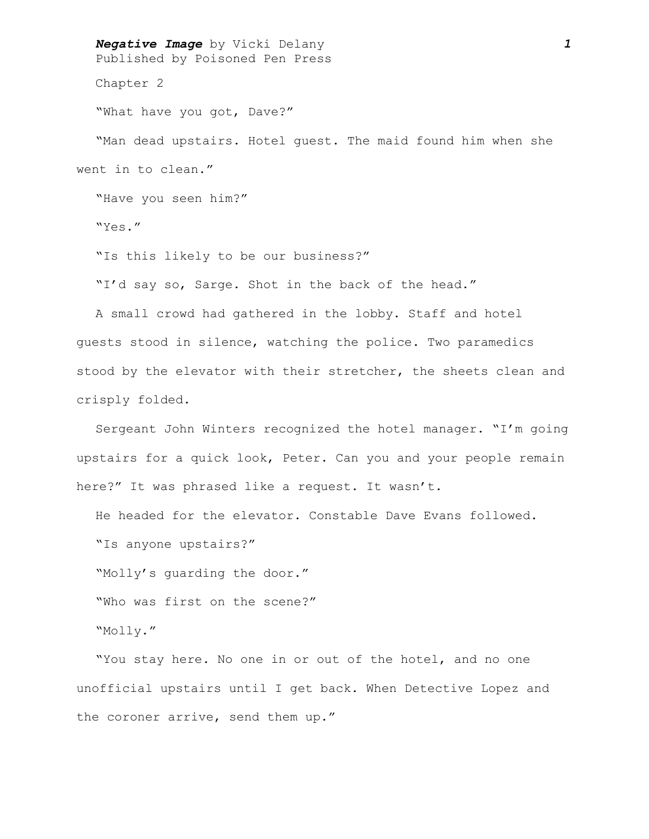*Negative Image* by Vicki Delany *1* Published by Poisoned Pen Press

Chapter 2

"What have you got, Dave?"

"Man dead upstairs. Hotel guest. The maid found him when she went in to clean."

"Have you seen him?"

"Yes."

"Is this likely to be our business?"

"I'd say so, Sarge. Shot in the back of the head."

A small crowd had gathered in the lobby. Staff and hotel guests stood in silence, watching the police. Two paramedics stood by the elevator with their stretcher, the sheets clean and crisply folded.

Sergeant John Winters recognized the hotel manager. "I'm going upstairs for a quick look, Peter. Can you and your people remain here?" It was phrased like a request. It wasn't.

He headed for the elevator. Constable Dave Evans followed.

"Is anyone upstairs?"

"Molly's guarding the door."

"Who was first on the scene?"

"Molly."

"You stay here. No one in or out of the hotel, and no one unofficial upstairs until I get back. When Detective Lopez and the coroner arrive, send them up."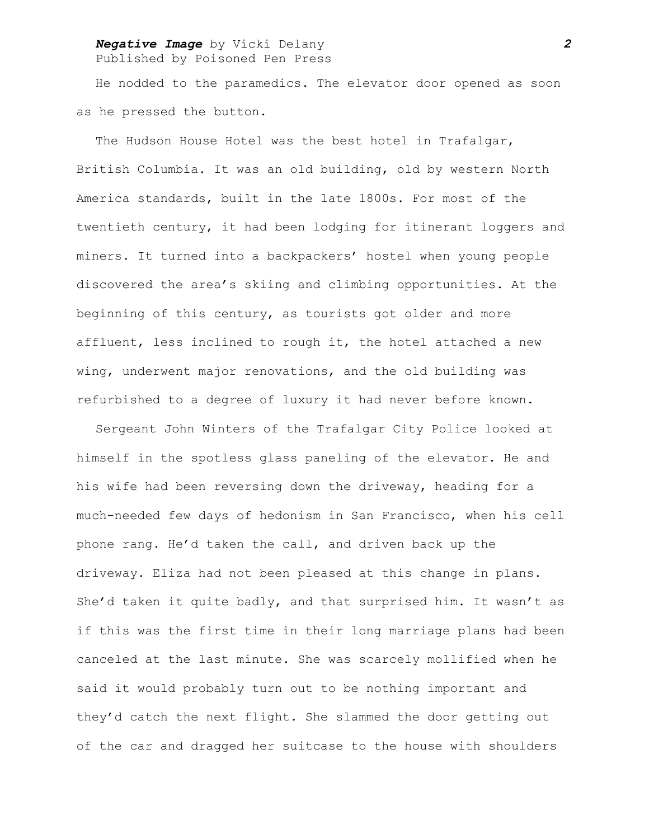# *Negative Image* by Vicki Delany *2*

Published by Poisoned Pen Press

He nodded to the paramedics. The elevator door opened as soon as he pressed the button.

The Hudson House Hotel was the best hotel in Trafalgar, British Columbia. It was an old building, old by western North America standards, built in the late 1800s. For most of the twentieth century, it had been lodging for itinerant loggers and miners. It turned into a backpackers' hostel when young people discovered the area's skiing and climbing opportunities. At the beginning of this century, as tourists got older and more affluent, less inclined to rough it, the hotel attached a new wing, underwent major renovations, and the old building was refurbished to a degree of luxury it had never before known.

Sergeant John Winters of the Trafalgar City Police looked at himself in the spotless glass paneling of the elevator. He and his wife had been reversing down the driveway, heading for a much-needed few days of hedonism in San Francisco, when his cell phone rang. He'd taken the call, and driven back up the driveway. Eliza had not been pleased at this change in plans. She'd taken it quite badly, and that surprised him. It wasn't as if this was the first time in their long marriage plans had been canceled at the last minute. She was scarcely mollified when he said it would probably turn out to be nothing important and they'd catch the next flight. She slammed the door getting out of the car and dragged her suitcase to the house with shoulders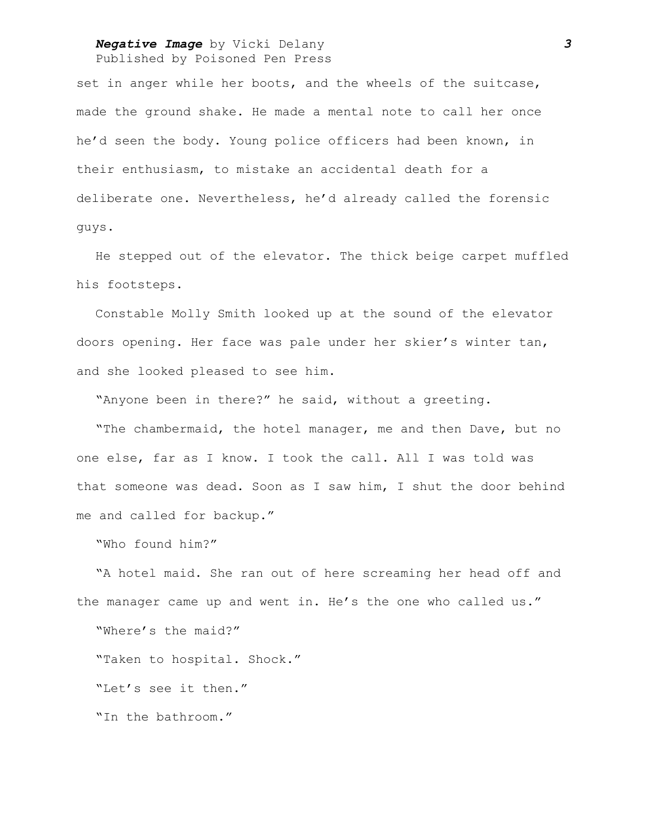## *Negative Image* by Vicki Delany *3* Published by Poisoned Pen Press

set in anger while her boots, and the wheels of the suitcase, made the ground shake. He made a mental note to call her once he'd seen the body. Young police officers had been known, in their enthusiasm, to mistake an accidental death for a deliberate one. Nevertheless, he'd already called the forensic guys.

He stepped out of the elevator. The thick beige carpet muffled his footsteps.

Constable Molly Smith looked up at the sound of the elevator doors opening. Her face was pale under her skier's winter tan, and she looked pleased to see him.

"Anyone been in there?" he said, without a greeting.

"The chambermaid, the hotel manager, me and then Dave, but no one else, far as I know. I took the call. All I was told was that someone was dead. Soon as I saw him, I shut the door behind me and called for backup."

"Who found him?"

"A hotel maid. She ran out of here screaming her head off and the manager came up and went in. He's the one who called us."

"Where's the maid?"

"Taken to hospital. Shock."

"Let's see it then."

"In the bathroom."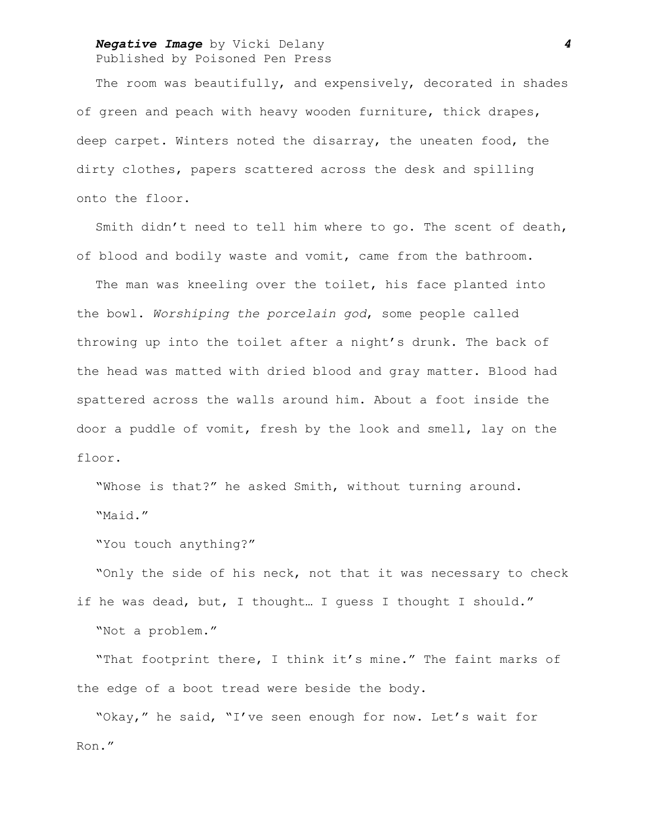### *Negative Image* by Vicki Delany *4* Published by Poisoned Pen Press

The room was beautifully, and expensively, decorated in shades of green and peach with heavy wooden furniture, thick drapes, deep carpet. Winters noted the disarray, the uneaten food, the dirty clothes, papers scattered across the desk and spilling onto the floor.

Smith didn't need to tell him where to go. The scent of death, of blood and bodily waste and vomit, came from the bathroom.

The man was kneeling over the toilet, his face planted into the bowl. *Worshiping the porcelain god*, some people called throwing up into the toilet after a night's drunk. The back of the head was matted with dried blood and gray matter. Blood had spattered across the walls around him. About a foot inside the door a puddle of vomit, fresh by the look and smell, lay on the floor.

"Whose is that?" he asked Smith, without turning around. "Maid."

"You touch anything?"

"Only the side of his neck, not that it was necessary to check if he was dead, but, I thought… I guess I thought I should." "Not a problem."

"That footprint there, I think it's mine." The faint marks of the edge of a boot tread were beside the body.

"Okay," he said, "I've seen enough for now. Let's wait for Ron."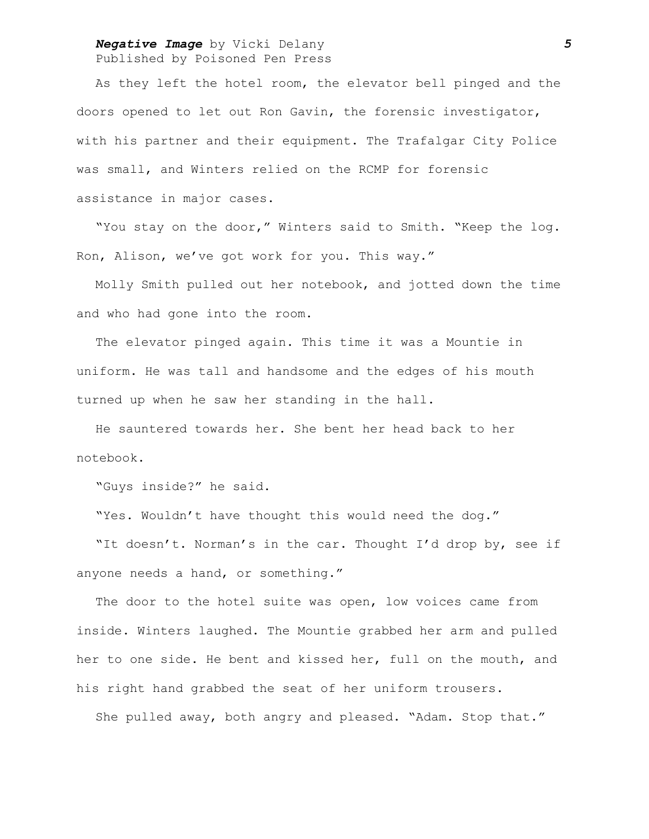### *Negative Image* by Vicki Delany *5* Published by Poisoned Pen Press

As they left the hotel room, the elevator bell pinged and the doors opened to let out Ron Gavin, the forensic investigator, with his partner and their equipment. The Trafalgar City Police was small, and Winters relied on the RCMP for forensic assistance in major cases.

"You stay on the door," Winters said to Smith. "Keep the log. Ron, Alison, we've got work for you. This way."

Molly Smith pulled out her notebook, and jotted down the time and who had gone into the room.

The elevator pinged again. This time it was a Mountie in uniform. He was tall and handsome and the edges of his mouth turned up when he saw her standing in the hall.

He sauntered towards her. She bent her head back to her notebook.

"Guys inside?" he said.

"Yes. Wouldn't have thought this would need the dog."

"It doesn't. Norman's in the car. Thought I'd drop by, see if anyone needs a hand, or something."

The door to the hotel suite was open, low voices came from inside. Winters laughed. The Mountie grabbed her arm and pulled her to one side. He bent and kissed her, full on the mouth, and his right hand grabbed the seat of her uniform trousers.

She pulled away, both angry and pleased. "Adam. Stop that."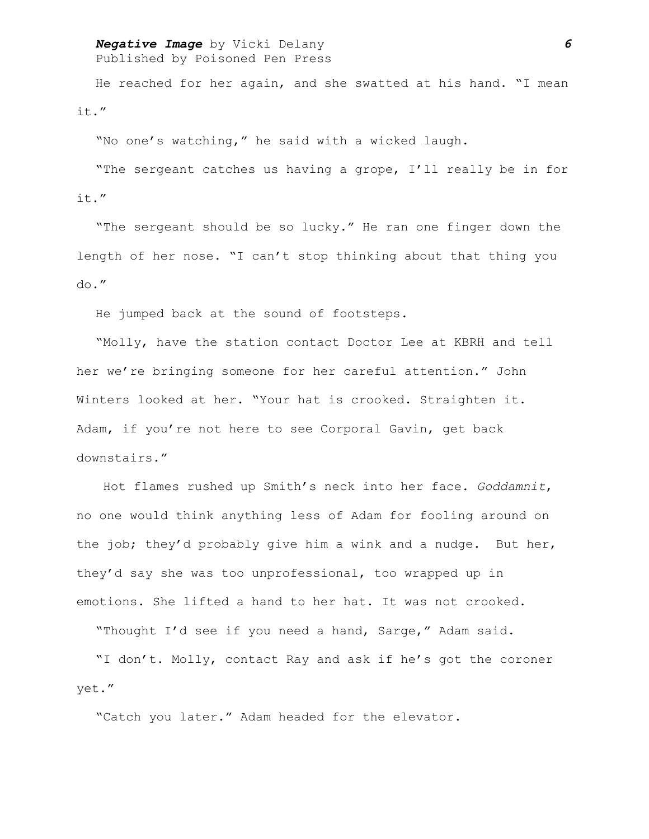# *Negative Image* by Vicki Delany *6*

Published by Poisoned Pen Press

He reached for her again, and she swatted at his hand. "I mean it."

"No one's watching," he said with a wicked laugh.

"The sergeant catches us having a grope, I'll really be in for it."

"The sergeant should be so lucky." He ran one finger down the length of her nose. "I can't stop thinking about that thing you do."

He jumped back at the sound of footsteps.

"Molly, have the station contact Doctor Lee at KBRH and tell her we're bringing someone for her careful attention." John Winters looked at her. "Your hat is crooked. Straighten it. Adam, if you're not here to see Corporal Gavin, get back downstairs."

 Hot flames rushed up Smith's neck into her face. *Goddamnit*, no one would think anything less of Adam for fooling around on the job; they'd probably give him a wink and a nudge. But her, they'd say she was too unprofessional, too wrapped up in emotions. She lifted a hand to her hat. It was not crooked.

"Thought I'd see if you need a hand, Sarge," Adam said.

"I don't. Molly, contact Ray and ask if he's got the coroner yet."

"Catch you later." Adam headed for the elevator.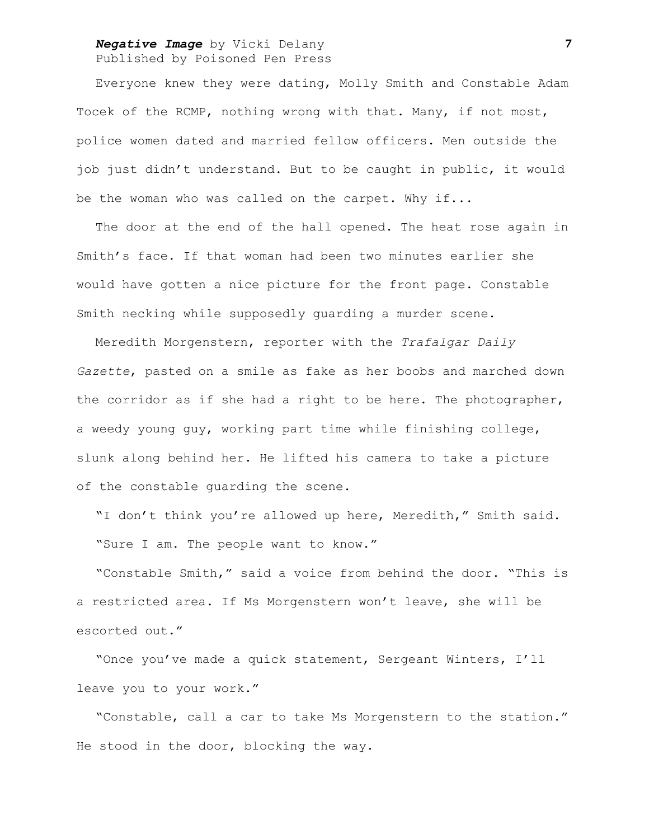## *Negative Image* by Vicki Delany *7* Published by Poisoned Pen Press

Everyone knew they were dating, Molly Smith and Constable Adam Tocek of the RCMP, nothing wrong with that. Many, if not most, police women dated and married fellow officers. Men outside the job just didn't understand. But to be caught in public, it would be the woman who was called on the carpet. Why if...

The door at the end of the hall opened. The heat rose again in Smith's face. If that woman had been two minutes earlier she would have gotten a nice picture for the front page. Constable Smith necking while supposedly guarding a murder scene.

Meredith Morgenstern, reporter with the *Trafalgar Daily Gazette*, pasted on a smile as fake as her boobs and marched down the corridor as if she had a right to be here. The photographer, a weedy young guy, working part time while finishing college, slunk along behind her. He lifted his camera to take a picture of the constable guarding the scene.

"I don't think you're allowed up here, Meredith," Smith said. "Sure I am. The people want to know."

"Constable Smith," said a voice from behind the door. "This is a restricted area. If Ms Morgenstern won't leave, she will be escorted out."

"Once you've made a quick statement, Sergeant Winters, I'll leave you to your work."

"Constable, call a car to take Ms Morgenstern to the station." He stood in the door, blocking the way.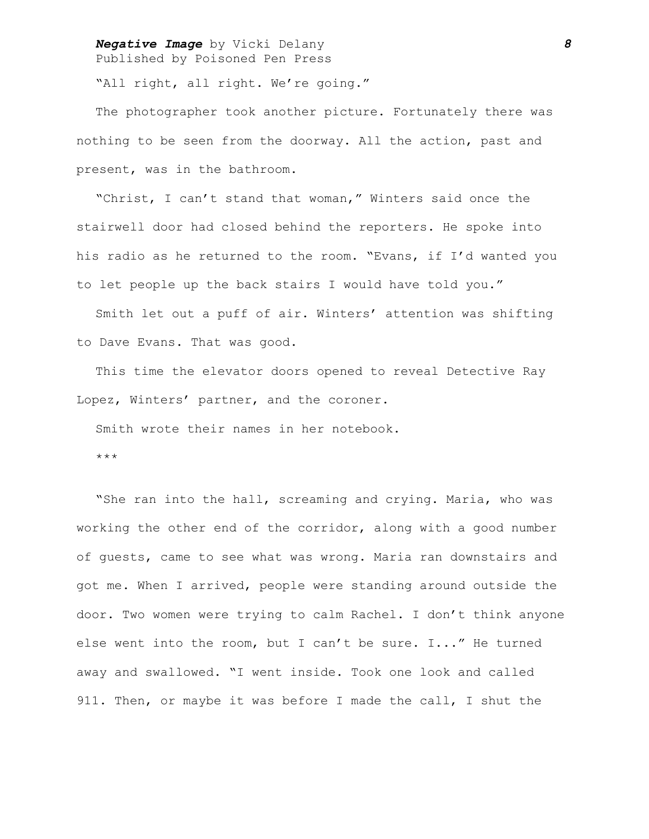### *Negative Image* by Vicki Delany *8* Published by Poisoned Pen Press

"All right, all right. We're going."

The photographer took another picture. Fortunately there was nothing to be seen from the doorway. All the action, past and present, was in the bathroom.

"Christ, I can't stand that woman," Winters said once the stairwell door had closed behind the reporters. He spoke into his radio as he returned to the room. "Evans, if I'd wanted you to let people up the back stairs I would have told you."

Smith let out a puff of air. Winters' attention was shifting to Dave Evans. That was good.

This time the elevator doors opened to reveal Detective Ray Lopez, Winters' partner, and the coroner.

Smith wrote their names in her notebook.

\*\*\*

"She ran into the hall, screaming and crying. Maria, who was working the other end of the corridor, along with a good number of guests, came to see what was wrong. Maria ran downstairs and got me. When I arrived, people were standing around outside the door. Two women were trying to calm Rachel. I don't think anyone else went into the room, but I can't be sure. I..." He turned away and swallowed. "I went inside. Took one look and called 911. Then, or maybe it was before I made the call, I shut the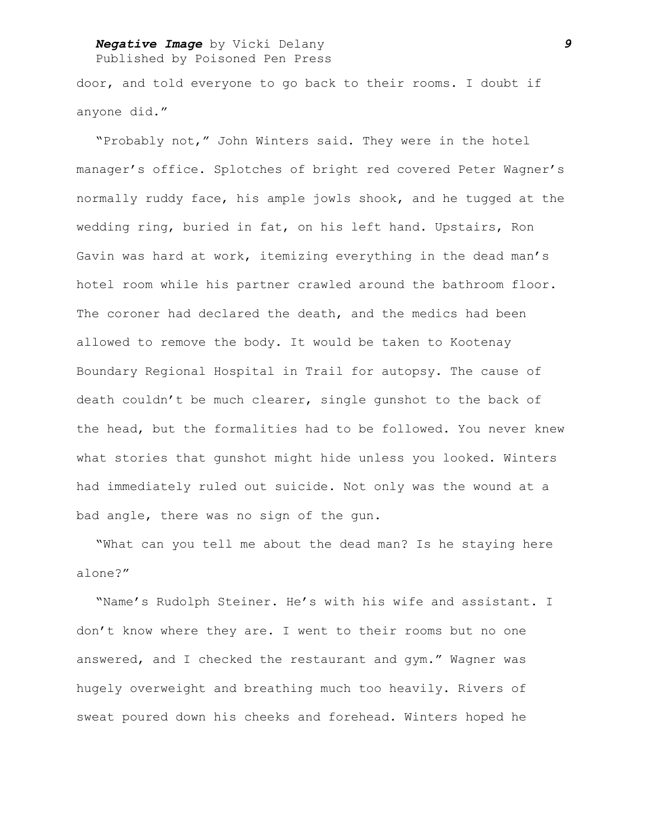# *Negative Image* by Vicki Delany *9*

Published by Poisoned Pen Press

door, and told everyone to go back to their rooms. I doubt if anyone did."

"Probably not," John Winters said. They were in the hotel manager's office. Splotches of bright red covered Peter Wagner's normally ruddy face, his ample jowls shook, and he tugged at the wedding ring, buried in fat, on his left hand. Upstairs, Ron Gavin was hard at work, itemizing everything in the dead man's hotel room while his partner crawled around the bathroom floor. The coroner had declared the death, and the medics had been allowed to remove the body. It would be taken to Kootenay Boundary Regional Hospital in Trail for autopsy. The cause of death couldn't be much clearer, single gunshot to the back of the head, but the formalities had to be followed. You never knew what stories that gunshot might hide unless you looked. Winters had immediately ruled out suicide. Not only was the wound at a bad angle, there was no sign of the gun.

"What can you tell me about the dead man? Is he staying here alone?"

"Name's Rudolph Steiner. He's with his wife and assistant. I don't know where they are. I went to their rooms but no one answered, and I checked the restaurant and gym." Wagner was hugely overweight and breathing much too heavily. Rivers of sweat poured down his cheeks and forehead. Winters hoped he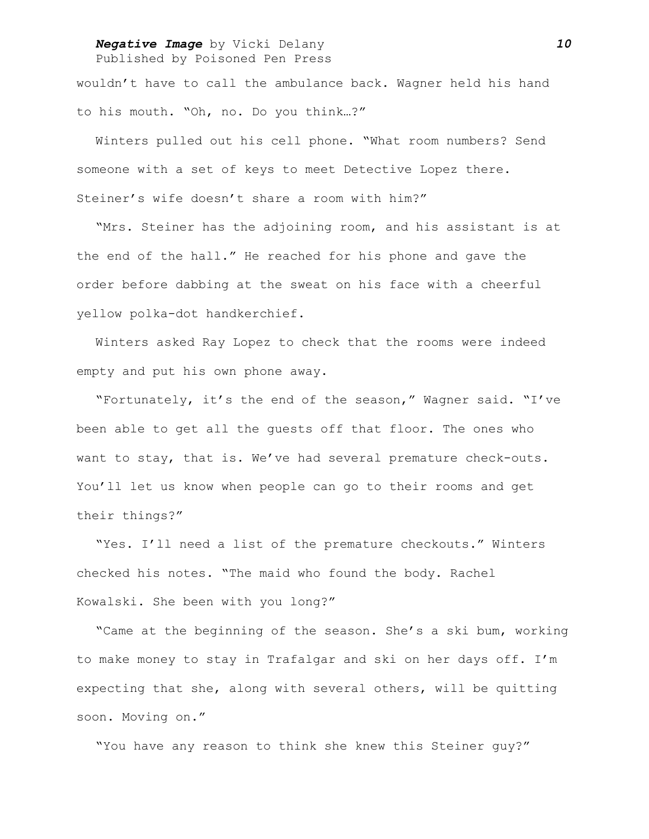#### *Negative Image* by Vicki Delany *10* Published by Poisoned Pen Press

wouldn't have to call the ambulance back. Wagner held his hand to his mouth. "Oh, no. Do you think…?"

Winters pulled out his cell phone. "What room numbers? Send someone with a set of keys to meet Detective Lopez there. Steiner's wife doesn't share a room with him?"

"Mrs. Steiner has the adjoining room, and his assistant is at the end of the hall." He reached for his phone and gave the order before dabbing at the sweat on his face with a cheerful yellow polka-dot handkerchief.

Winters asked Ray Lopez to check that the rooms were indeed empty and put his own phone away.

"Fortunately, it's the end of the season," Wagner said. "I've been able to get all the guests off that floor. The ones who want to stay, that is. We've had several premature check-outs. You'll let us know when people can go to their rooms and get their things?"

"Yes. I'll need a list of the premature checkouts." Winters checked his notes. "The maid who found the body. Rachel Kowalski. She been with you long?"

"Came at the beginning of the season. She's a ski bum, working to make money to stay in Trafalgar and ski on her days off. I'm expecting that she, along with several others, will be quitting soon. Moving on."

"You have any reason to think she knew this Steiner guy?"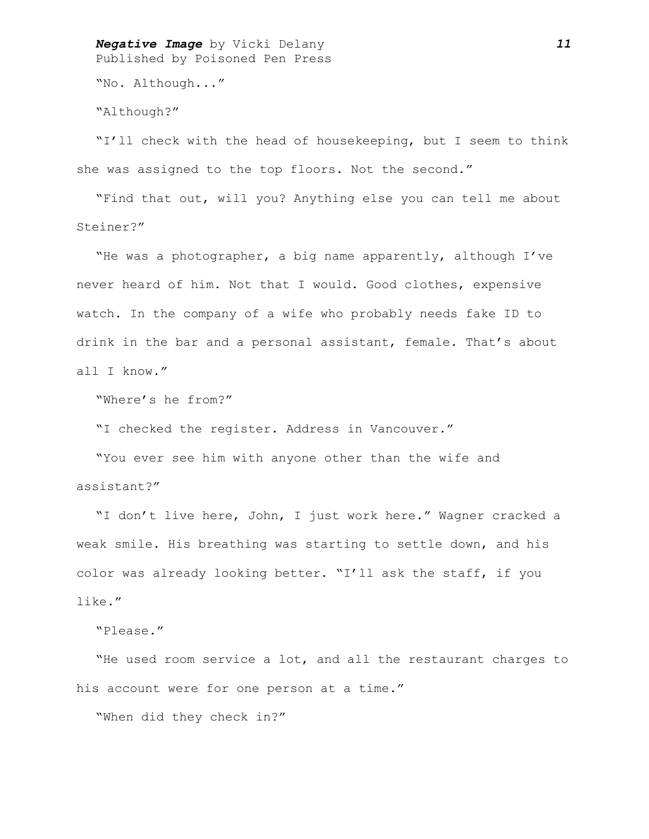*Negative Image* by Vicki Delany *11* Published by Poisoned Pen Press

"No. Although..."

"Although?"

"I'll check with the head of housekeeping, but I seem to think she was assigned to the top floors. Not the second."

"Find that out, will you? Anything else you can tell me about Steiner?"

"He was a photographer, a big name apparently, although I've never heard of him. Not that I would. Good clothes, expensive watch. In the company of a wife who probably needs fake ID to drink in the bar and a personal assistant, female. That's about all I know."

"Where's he from?"

"I checked the register. Address in Vancouver."

"You ever see him with anyone other than the wife and assistant?"

"I don't live here, John, I just work here." Wagner cracked a weak smile. His breathing was starting to settle down, and his color was already looking better. "I'll ask the staff, if you like."

"Please."

"He used room service a lot, and all the restaurant charges to his account were for one person at a time."

"When did they check in?"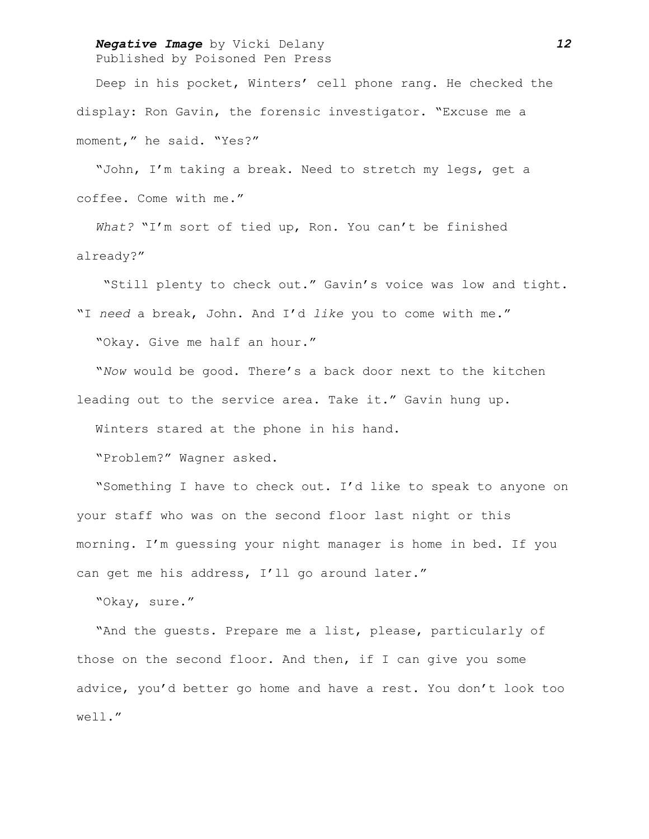### *Negative Image* by Vicki Delany *12* Published by Poisoned Pen Press

Deep in his pocket, Winters' cell phone rang. He checked the display: Ron Gavin, the forensic investigator. "Excuse me a moment," he said. "Yes?"

"John, I'm taking a break. Need to stretch my legs, get a coffee. Come with me."

*What?* "I'm sort of tied up, Ron. You can't be finished already?"

 "Still plenty to check out." Gavin's voice was low and tight. "I *need* a break, John. And I'd *like* you to come with me." "Okay. Give me half an hour."

"*Now* would be good. There's a back door next to the kitchen leading out to the service area. Take it." Gavin hung up.

Winters stared at the phone in his hand.

"Problem?" Wagner asked.

"Something I have to check out. I'd like to speak to anyone on your staff who was on the second floor last night or this morning. I'm guessing your night manager is home in bed. If you can get me his address, I'll go around later."

"Okay, sure."

"And the guests. Prepare me a list, please, particularly of those on the second floor. And then, if I can give you some advice, you'd better go home and have a rest. You don't look too well."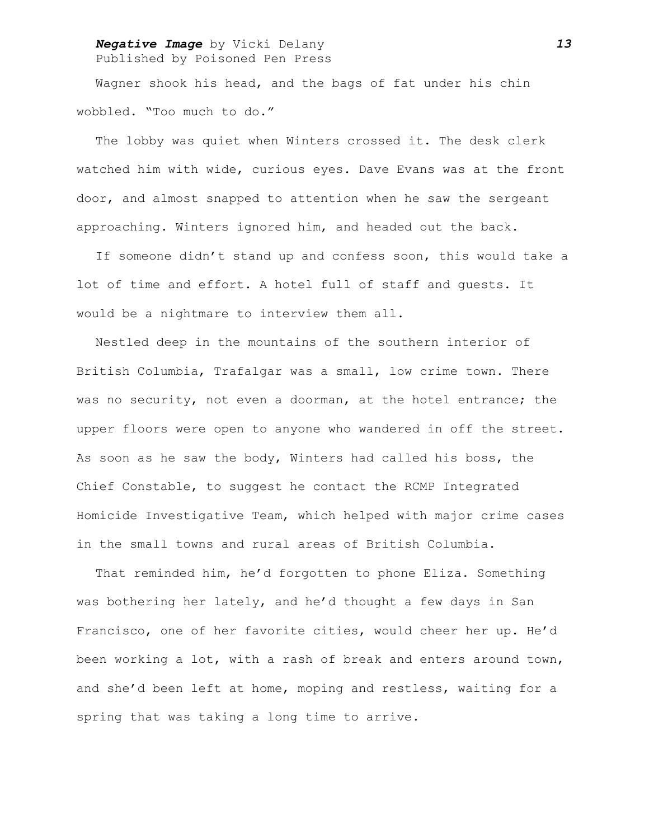### *Negative Image* by Vicki Delany *13* Published by Poisoned Pen Press

Wagner shook his head, and the bags of fat under his chin wobbled. "Too much to do."

The lobby was quiet when Winters crossed it. The desk clerk watched him with wide, curious eyes. Dave Evans was at the front door, and almost snapped to attention when he saw the sergeant approaching. Winters ignored him, and headed out the back.

If someone didn't stand up and confess soon, this would take a lot of time and effort. A hotel full of staff and guests. It would be a nightmare to interview them all.

Nestled deep in the mountains of the southern interior of British Columbia, Trafalgar was a small, low crime town. There was no security, not even a doorman, at the hotel entrance; the upper floors were open to anyone who wandered in off the street. As soon as he saw the body, Winters had called his boss, the Chief Constable, to suggest he contact the RCMP Integrated Homicide Investigative Team, which helped with major crime cases in the small towns and rural areas of British Columbia.

That reminded him, he'd forgotten to phone Eliza. Something was bothering her lately, and he'd thought a few days in San Francisco, one of her favorite cities, would cheer her up. He'd been working a lot, with a rash of break and enters around town, and she'd been left at home, moping and restless, waiting for a spring that was taking a long time to arrive.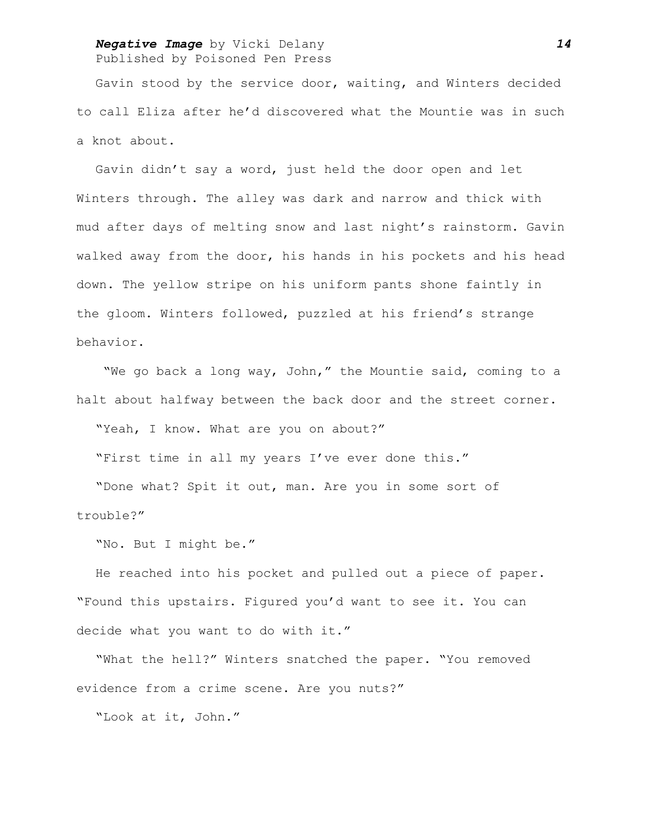#### *Negative Image* by Vicki Delany *14* Published by Poisoned Pen Press

Gavin stood by the service door, waiting, and Winters decided to call Eliza after he'd discovered what the Mountie was in such a knot about.

Gavin didn't say a word, just held the door open and let Winters through. The alley was dark and narrow and thick with mud after days of melting snow and last night's rainstorm. Gavin walked away from the door, his hands in his pockets and his head down. The yellow stripe on his uniform pants shone faintly in the gloom. Winters followed, puzzled at his friend's strange behavior.

 "We go back a long way, John," the Mountie said, coming to a halt about halfway between the back door and the street corner.

"Yeah, I know. What are you on about?"

"First time in all my years I've ever done this."

"Done what? Spit it out, man. Are you in some sort of trouble?"

"No. But I might be."

He reached into his pocket and pulled out a piece of paper. "Found this upstairs. Figured you'd want to see it. You can decide what you want to do with it."

"What the hell?" Winters snatched the paper. "You removed evidence from a crime scene. Are you nuts?"

"Look at it, John."